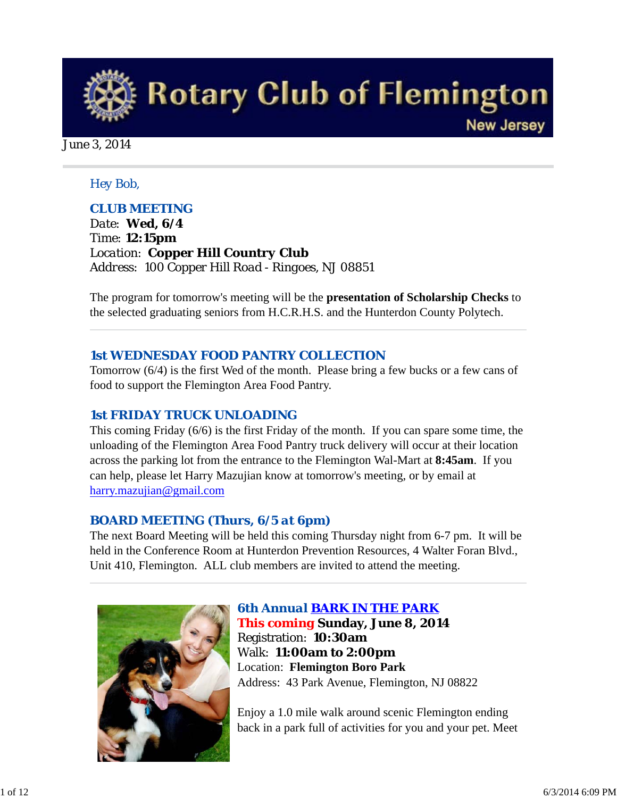

June 3, 2014

#### *Hey Bob,*

### *CLUB MEETING*

*Date: Wed, 6/4 Time: 12:15pm Location: Copper Hill Country Club Address: 100 Copper Hill Road - Ringoes, NJ 08851* 

The program for tomorrow's meeting will be the **presentation of Scholarship Checks** to the selected graduating seniors from H.C.R.H.S. and the Hunterdon County Polytech.

#### *1st WEDNESDAY FOOD PANTRY COLLECTION*

Tomorrow (6/4) is the first Wed of the month. Please bring a few bucks or a few cans of food to support the Flemington Area Food Pantry.

### *1st FRIDAY TRUCK UNLOADING*

This coming Friday (6/6) is the first Friday of the month. If you can spare some time, the unloading of the Flemington Area Food Pantry truck delivery will occur at their location across the parking lot from the entrance to the Flemington Wal-Mart at **8:45am**. If you can help, please let Harry Mazujian know at tomorrow's meeting, or by email at harry.mazujian@gmail.com

### *BOARD MEETING (Thurs, 6/5 at 6pm)*

The next Board Meeting will be held this coming Thursday night from 6-7 pm. It will be held in the Conference Room at Hunterdon Prevention Resources, 4 Walter Foran Blvd., Unit 410, Flemington. ALL club members are invited to attend the meeting.



*6th Annual BARK IN THE PARK This coming* **Sunday, June 8, 2014** Registration: **10:30am** Walk: **11:00am to 2:00pm** Location: **Flemington Boro Park** Address: 43 Park Avenue, Flemington, NJ 08822

Enjoy a 1.0 mile walk around scenic Flemington ending back in a park full of activities for you and your pet. Meet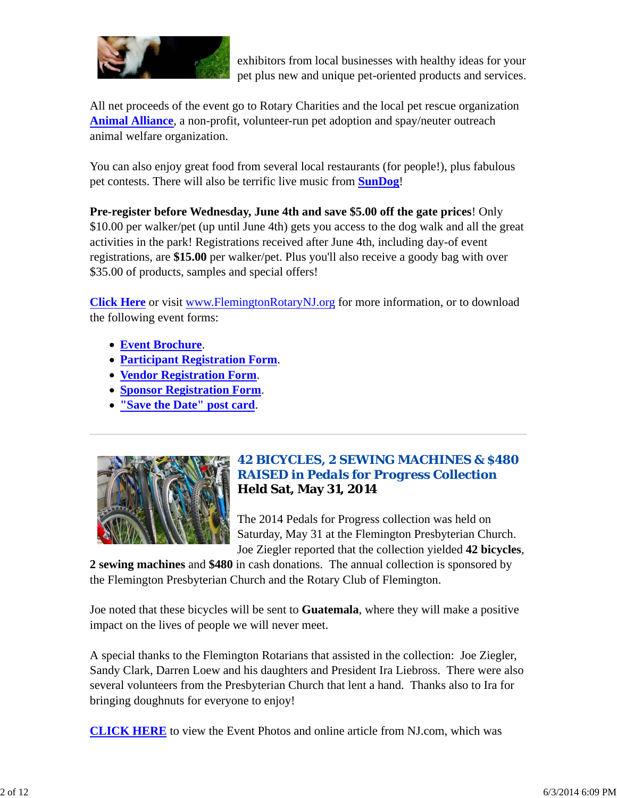

exhibitors from local businesses with healthy ideas for your pet plus new and unique pet-oriented products and services.

All net proceeds of the event go to Rotary Charities and the local pet rescue organization **Animal Alliance**, a non-profit, volunteer-run pet adoption and spay/neuter outreach animal welfare organization.

You can also enjoy great food from several local restaurants (for people!), plus fabulous pet contests. There will also be terrific live music from **SunDog**!

**Pre-register before Wednesday, June 4th and save \$5.00 off the gate prices**! Only \$10.00 per walker/pet (up until June 4th) gets you access to the dog walk and all the great activities in the park! Registrations received after June 4th, including day-of event registrations, are **\$15.00** per walker/pet. Plus you'll also receive a goody bag with over \$35.00 of products, samples and special offers!

**Click Here** or visit www.FlemingtonRotaryNJ.org for more information, or to download the following event forms:

- **Event Brochure**.
- **Participant Registration Form**.
- **Vendor Registration Form**.
- **Sponsor Registration Form**.
- **"Save the Date" post card**.



## *42 BICYCLES, 2 SEWING MACHINES & \$480 RAISED in Pedals for Progress Collection* **Held Sat, May 31, 2014**

The 2014 Pedals for Progress collection was held on Saturday, May 31 at the Flemington Presbyterian Church. Joe Ziegler reported that the collection yielded **42 bicycles**,

**2 sewing machines** and **\$480** in cash donations. The annual collection is sponsored by the Flemington Presbyterian Church and the Rotary Club of Flemington.

Joe noted that these bicycles will be sent to **Guatemala**, where they will make a positive impact on the lives of people we will never meet.

A special thanks to the Flemington Rotarians that assisted in the collection: Joe Ziegler, Sandy Clark, Darren Loew and his daughters and President Ira Liebross. There were also several volunteers from the Presbyterian Church that lent a hand. Thanks also to Ira for bringing doughnuts for everyone to enjoy!

**CLICK HERE** to view the Event Photos and online article from NJ.com, which was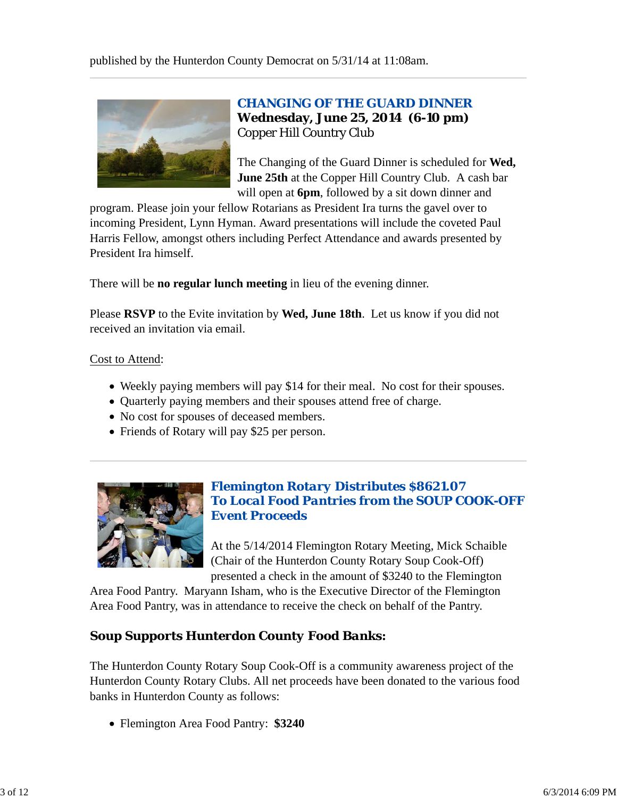

## *CHANGING OF THE GUARD DINNER* **Wednesday, June 25, 2014 (6-10 pm)** Copper Hill Country Club

The Changing of the Guard Dinner is scheduled for **Wed, June 25th** at the Copper Hill Country Club. A cash bar will open at **6pm**, followed by a sit down dinner and

program. Please join your fellow Rotarians as President Ira turns the gavel over to incoming President, Lynn Hyman. Award presentations will include the coveted Paul Harris Fellow, amongst others including Perfect Attendance and awards presented by President Ira himself.

There will be **no regular lunch meeting** in lieu of the evening dinner.

Please **RSVP** to the Evite invitation by **Wed, June 18th**. Let us know if you did not received an invitation via email.

#### Cost to Attend:

- Weekly paying members will pay \$14 for their meal. No cost for their spouses.
- Ouarterly paying members and their spouses attend free of charge.
- No cost for spouses of deceased members.
- Friends of Rotary will pay \$25 per person.



## *Flemington Rotary Distributes \$8621.07 To Local Food Pantries from the SOUP COOK-OFF Event Proceeds*

At the 5/14/2014 Flemington Rotary Meeting, Mick Schaible (Chair of the Hunterdon County Rotary Soup Cook-Off) presented a check in the amount of \$3240 to the Flemington

Area Food Pantry. Maryann Isham, who is the Executive Director of the Flemington Area Food Pantry, was in attendance to receive the check on behalf of the Pantry.

## *Soup Supports Hunterdon County Food Banks:*

The Hunterdon County Rotary Soup Cook-Off is a community awareness project of the Hunterdon County Rotary Clubs. All net proceeds have been donated to the various food banks in Hunterdon County as follows:

Flemington Area Food Pantry: **\$3240**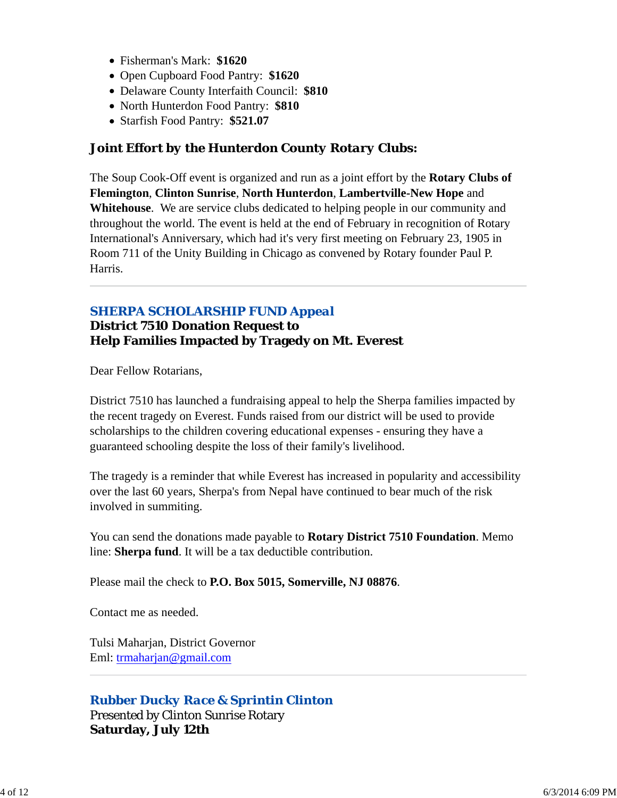- Fisherman's Mark: **\$1620**
- Open Cupboard Food Pantry: **\$1620**
- Delaware County Interfaith Council: **\$810**
- North Hunterdon Food Pantry: **\$810**
- Starfish Food Pantry: **\$521.07**

## *Joint Effort by the Hunterdon County Rotary Clubs:*

The Soup Cook-Off event is organized and run as a joint effort by the **Rotary Clubs of Flemington**, **Clinton Sunrise**, **North Hunterdon**, **Lambertville-New Hope** and **Whitehouse**. We are service clubs dedicated to helping people in our community and throughout the world. The event is held at the end of February in recognition of Rotary International's Anniversary, which had it's very first meeting on February 23, 1905 in Room 711 of the Unity Building in Chicago as convened by Rotary founder Paul P. Harris.

## *SHERPA SCHOLARSHIP FUND Appeal*

#### **District 7510 Donation Request to Help Families Impacted by Tragedy on Mt. Everest**

Dear Fellow Rotarians,

District 7510 has launched a fundraising appeal to help the Sherpa families impacted by the recent tragedy on Everest. Funds raised from our district will be used to provide scholarships to the children covering educational expenses - ensuring they have a guaranteed schooling despite the loss of their family's livelihood.

The tragedy is a reminder that while Everest has increased in popularity and accessibility over the last 60 years, Sherpa's from Nepal have continued to bear much of the risk involved in summiting.

You can send the donations made payable to **Rotary District 7510 Foundation**. Memo line: **Sherpa fund**. It will be a tax deductible contribution.

Please mail the check to **P.O. Box 5015, Somerville, NJ 08876**.

Contact me as needed.

Tulsi Maharjan, District Governor Eml: trmaharjan@gmail.com

### *Rubber Ducky Race & Sprintin Clinton*

Presented by Clinton Sunrise Rotary **Saturday, July 12th**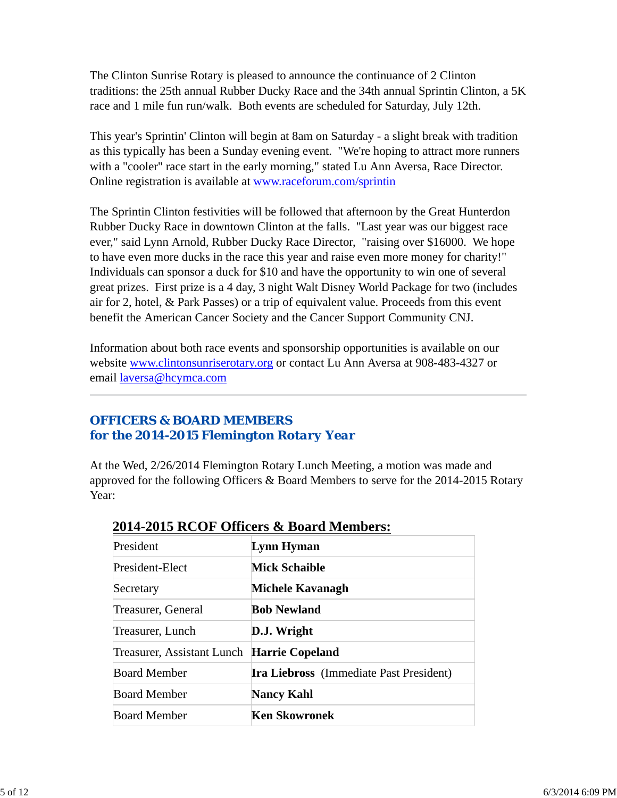The Clinton Sunrise Rotary is pleased to announce the continuance of 2 Clinton traditions: the 25th annual Rubber Ducky Race and the 34th annual Sprintin Clinton, a 5K race and 1 mile fun run/walk. Both events are scheduled for Saturday, July 12th.

This year's Sprintin' Clinton will begin at 8am on Saturday - a slight break with tradition as this typically has been a Sunday evening event. "We're hoping to attract more runners with a "cooler" race start in the early morning," stated Lu Ann Aversa, Race Director. Online registration is available at www.raceforum.com/sprintin

The Sprintin Clinton festivities will be followed that afternoon by the Great Hunterdon Rubber Ducky Race in downtown Clinton at the falls. "Last year was our biggest race ever," said Lynn Arnold, Rubber Ducky Race Director, "raising over \$16000. We hope to have even more ducks in the race this year and raise even more money for charity!" Individuals can sponsor a duck for \$10 and have the opportunity to win one of several great prizes. First prize is a 4 day, 3 night Walt Disney World Package for two (includes air for 2, hotel, & Park Passes) or a trip of equivalent value. Proceeds from this event benefit the American Cancer Society and the Cancer Support Community CNJ.

Information about both race events and sponsorship opportunities is available on our website www.clintonsunriserotary.org or contact Lu Ann Aversa at 908-483-4327 or email laversa@hcymca.com

## *OFFICERS & BOARD MEMBERS for the 2014-2015 Flemington Rotary Year*

At the Wed, 2/26/2014 Flemington Rotary Lunch Meeting, a motion was made and approved for the following Officers & Board Members to serve for the 2014-2015 Rotary Year:

| President                                  | Lynn Hyman                                     |
|--------------------------------------------|------------------------------------------------|
| President-Elect                            | <b>Mick Schaible</b>                           |
| Secretary                                  | Michele Kavanagh                               |
| Treasurer, General                         | <b>Bob Newland</b>                             |
| Treasurer, Lunch                           | D.J. Wright                                    |
| Treasurer, Assistant Lunch Harrie Copeland |                                                |
| <b>Board Member</b>                        | <b>Ira Liebross</b> (Immediate Past President) |
| Board Member                               | <b>Nancy Kahl</b>                              |
| <b>Board Member</b>                        | Ken Skowronek                                  |

## **2014-2015 RCOF Officers & Board Members:**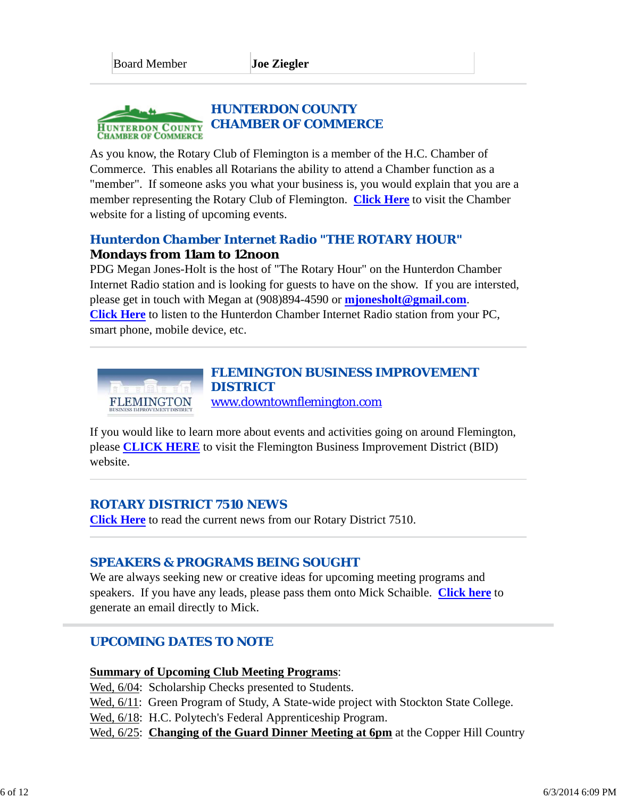#### *HUNTERDON COUNTY CHAMBER OF COMMERCE* **HUNTERDON COUNTY CHAMBER OF COMMERCE**

As you know, the Rotary Club of Flemington is a member of the H.C. Chamber of Commerce. This enables all Rotarians the ability to attend a Chamber function as a "member". If someone asks you what your business is, you would explain that you are a member representing the Rotary Club of Flemington. **Click Here** to visit the Chamber website for a listing of upcoming events.

## *Hunterdon Chamber Internet Radio "THE ROTARY HOUR"* **Mondays from 11am to 12noon**

PDG Megan Jones-Holt is the host of "The Rotary Hour" on the Hunterdon Chamber Internet Radio station and is looking for guests to have on the show. If you are intersted, please get in touch with Megan at (908)894-4590 or **mjonesholt@gmail.com**. **Click Here** to listen to the Hunterdon Chamber Internet Radio station from your PC, smart phone, mobile device, etc.



If you would like to learn more about events and activities going on around Flemington, please **CLICK HERE** to visit the Flemington Business Improvement District (BID) website.

## *ROTARY DISTRICT 7510 NEWS*

**Click Here** to read the current news from our Rotary District 7510.

## *SPEAKERS & PROGRAMS BEING SOUGHT*

We are always seeking new or creative ideas for upcoming meeting programs and speakers. If you have any leads, please pass them onto Mick Schaible. **Click here** to generate an email directly to Mick.

## *UPCOMING DATES TO NOTE*

#### **Summary of Upcoming Club Meeting Programs**:

Wed,  $6/04$ : Scholarship Checks presented to Students.

Wed,  $6/11$ : Green Program of Study, A State-wide project with Stockton State College.

Wed,  $6/18$ : H.C. Polytech's Federal Apprenticeship Program.

Wed, 6/25: **Changing of the Guard Dinner Meeting at 6pm** at the Copper Hill Country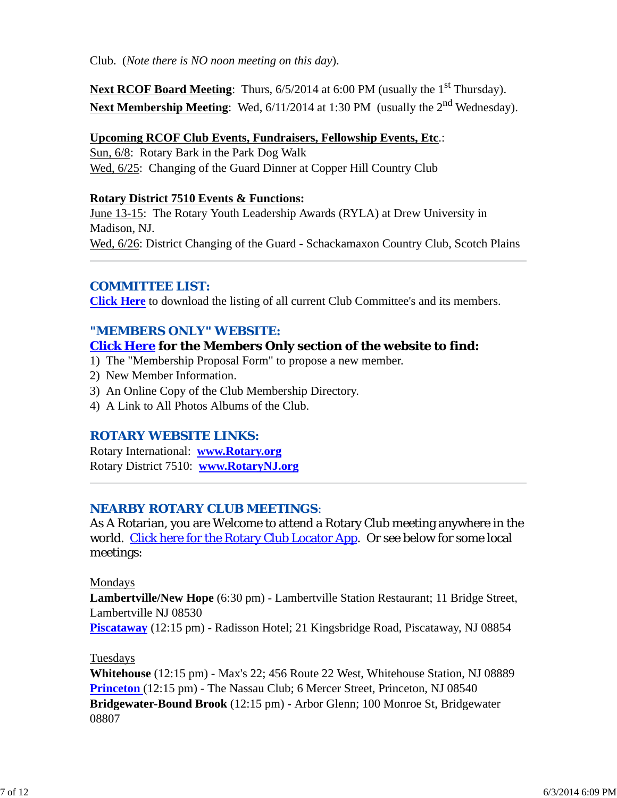Club. (*Note there is NO noon meeting on this day*).

**Next RCOF Board Meeting**: Thurs, 6/5/2014 at 6:00 PM (usually the 1<sup>st</sup> Thursday). Next Membership Meeting: Wed, 6/11/2014 at 1:30 PM (usually the 2<sup>nd</sup> Wednesday).

#### **Upcoming RCOF Club Events, Fundraisers, Fellowship Events, Etc**.:

Sun, 6/8: Rotary Bark in the Park Dog Walk Wed, 6/25: Changing of the Guard Dinner at Copper Hill Country Club

#### **Rotary District 7510 Events & Functions:**

June 13-15: The Rotary Youth Leadership Awards (RYLA) at Drew University in Madison, NJ. Wed, 6/26: District Changing of the Guard - Schackamaxon Country Club, Scotch Plains

### *COMMITTEE LIST:*

**Click Here** to download the listing of all current Club Committee's and its members.

## *"MEMBERS ONLY" WEBSITE:*

## **Click Here for the Members Only section of the website to find:**

- 1) The "Membership Proposal Form" to propose a new member.
- 2) New Member Information.
- 3) An Online Copy of the Club Membership Directory.
- 4) A Link to All Photos Albums of the Club.

## *ROTARY WEBSITE LINKS:*

Rotary International: **www.Rotary.org** Rotary District 7510: **www.RotaryNJ.org**

## *NEARBY ROTARY CLUB MEETINGS:*

As A Rotarian, you are Welcome to attend a Rotary Club meeting anywhere in the world. Click here for the Rotary Club Locator App. Or see below for some local meetings:

### Mondays

**Lambertville/New Hope** (6:30 pm) - Lambertville Station Restaurant; 11 Bridge Street, Lambertville NJ 08530 **Piscataway** (12:15 pm) - Radisson Hotel; 21 Kingsbridge Road, Piscataway, NJ 08854

### Tuesdays

**Whitehouse** (12:15 pm) - Max's 22; 456 Route 22 West, Whitehouse Station, NJ 08889 **Princeton** (12:15 pm) - The Nassau Club; 6 Mercer Street, Princeton, NJ 08540 **Bridgewater-Bound Brook** (12:15 pm) - Arbor Glenn; 100 Monroe St, Bridgewater 08807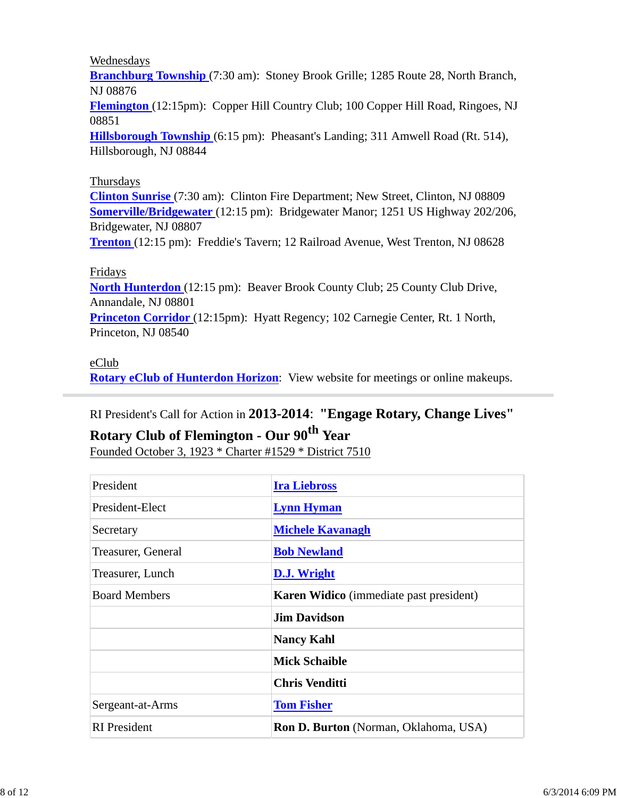#### Wednesdays

**Branchburg Township** (7:30 am): Stoney Brook Grille; 1285 Route 28, North Branch, NJ 08876

**Flemington** (12:15pm): Copper Hill Country Club; 100 Copper Hill Road, Ringoes, NJ 08851

**Hillsborough Township** (6:15 pm): Pheasant's Landing; 311 Amwell Road (Rt. 514), Hillsborough, NJ 08844

#### Thursdays

**Clinton Sunrise** (7:30 am): Clinton Fire Department; New Street, Clinton, NJ 08809 **Somerville/Bridgewater** (12:15 pm): Bridgewater Manor; 1251 US Highway 202/206, Bridgewater, NJ 08807

**Trenton** (12:15 pm): Freddie's Tavern; 12 Railroad Avenue, West Trenton, NJ 08628

#### Fridays

**North Hunterdon** (12:15 pm): Beaver Brook County Club; 25 County Club Drive, Annandale, NJ 08801

**Princeton Corridor** (12:15pm): Hyatt Regency; 102 Carnegie Center, Rt. 1 North, Princeton, NJ 08540

### eClub

**Rotary eClub of Hunterdon Horizon**: View website for meetings or online makeups.

## RI President's Call for Action in **2013-2014**: **"Engage Rotary, Change Lives"**

# **Rotary Club of Flemington - Our 90th Year**

Founded October 3, 1923 \* Charter #1529 \* District 7510

| President            | <b>Ira Liebross</b>                            |  |
|----------------------|------------------------------------------------|--|
| President-Elect      | <b>Lynn Hyman</b>                              |  |
| Secretary            | <b>Michele Kavanagh</b>                        |  |
| Treasurer, General   | <b>Bob Newland</b>                             |  |
| Treasurer, Lunch     | D.J. Wright                                    |  |
| <b>Board Members</b> | <b>Karen Widico</b> (immediate past president) |  |
|                      | <b>Jim Davidson</b>                            |  |
|                      | <b>Nancy Kahl</b>                              |  |
|                      | <b>Mick Schaible</b>                           |  |
|                      | <b>Chris Venditti</b>                          |  |
| Sergeant-at-Arms     | <b>Tom Fisher</b>                              |  |
| <b>RI</b> President  | <b>Ron D. Burton</b> (Norman, Oklahoma, USA)   |  |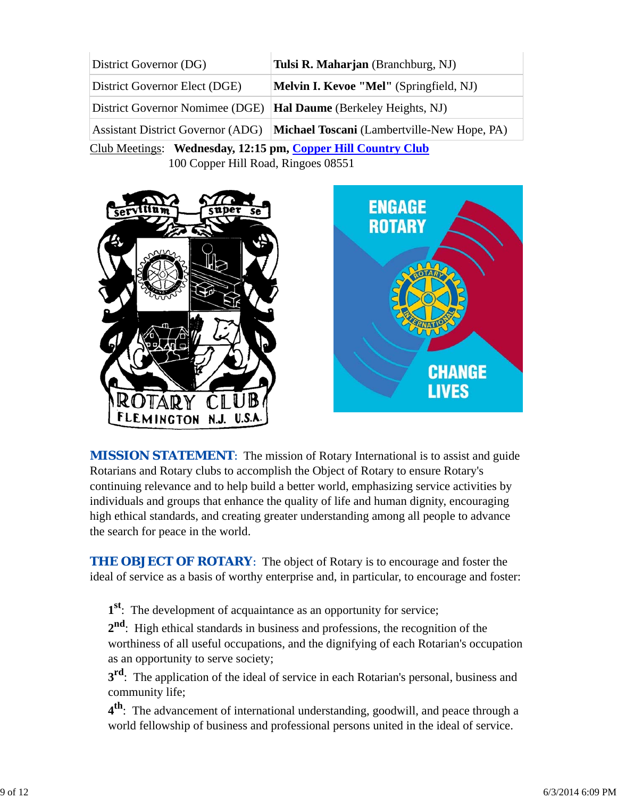| District Governor (DG)                                       | Tulsi R. Maharjan (Branchburg, NJ)                                                   |  |  |  |
|--------------------------------------------------------------|--------------------------------------------------------------------------------------|--|--|--|
| District Governor Elect (DGE)                                | <b>Melvin I. Kevoe "Mel"</b> (Springfield, NJ)                                       |  |  |  |
| District Governor Nomimee (DGE)                              | <b>Hal Daume</b> (Berkeley Heights, NJ)                                              |  |  |  |
|                                                              | Assistant District Governor (ADG) <b>Michael Toscani</b> (Lambertville-New Hope, PA) |  |  |  |
| Club Meetings: Wednesday, 12:15 pm, Copper Hill Country Club |                                                                                      |  |  |  |
| 100 Copper Hill Road, Ringoes 08551                          |                                                                                      |  |  |  |



**MISSION STATEMENT:** The mission of Rotary International is to assist and guide Rotarians and Rotary clubs to accomplish the Object of Rotary to ensure Rotary's continuing relevance and to help build a better world, emphasizing service activities by individuals and groups that enhance the quality of life and human dignity, encouraging high ethical standards, and creating greater understanding among all people to advance the search for peace in the world.

**CHANGE** 

**LIVES** 

**THE OBJECT OF ROTARY:** The object of Rotary is to encourage and foster the ideal of service as a basis of worthy enterprise and, in particular, to encourage and foster:

**1st**: The development of acquaintance as an opportunity for service;

**2nd**: High ethical standards in business and professions, the recognition of the worthiness of all useful occupations, and the dignifying of each Rotarian's occupation as an opportunity to serve society;

**3<sup>rd</sup>**: The application of the ideal of service in each Rotarian's personal, business and community life;

**4th**: The advancement of international understanding, goodwill, and peace through a world fellowship of business and professional persons united in the ideal of service.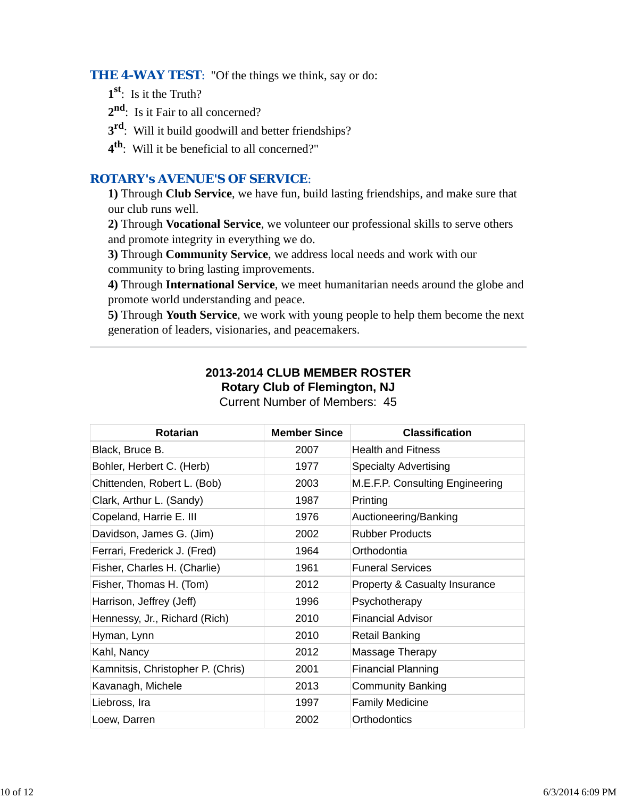**THE 4-WAY TEST:** "Of the things we think, say or do:

- **1st**: Is it the Truth?
- 2<sup>nd</sup>: Is it Fair to all concerned?
- **3rd**: Will it build goodwill and better friendships?
- **4th**: Will it be beneficial to all concerned?"

## *ROTARY's AVENUE'S OF SERVICE*:

**1)** Through **Club Service**, we have fun, build lasting friendships, and make sure that our club runs well.

**2)** Through **Vocational Service**, we volunteer our professional skills to serve others and promote integrity in everything we do.

**3)** Through **Community Service**, we address local needs and work with our community to bring lasting improvements.

**4)** Through **International Service**, we meet humanitarian needs around the globe and promote world understanding and peace.

**5)** Through **Youth Service**, we work with young people to help them become the next generation of leaders, visionaries, and peacemakers.

## **2013-2014 CLUB MEMBER ROSTER Rotary Club of Flemington, NJ**

| <b>Rotarian</b>                   | <b>Member Since</b> | <b>Classification</b>           |
|-----------------------------------|---------------------|---------------------------------|
| Black, Bruce B.                   | 2007                | <b>Health and Fitness</b>       |
| Bohler, Herbert C. (Herb)         | 1977                | <b>Specialty Advertising</b>    |
| Chittenden, Robert L. (Bob)       | 2003                | M.E.F.P. Consulting Engineering |
| Clark, Arthur L. (Sandy)          | 1987                | Printing                        |
| Copeland, Harrie E. III           | 1976                | Auctioneering/Banking           |
| Davidson, James G. (Jim)          | 2002                | <b>Rubber Products</b>          |
| Ferrari, Frederick J. (Fred)      | 1964                | Orthodontia                     |
| Fisher, Charles H. (Charlie)      | 1961                | <b>Funeral Services</b>         |
| Fisher, Thomas H. (Tom)           | 2012                | Property & Casualty Insurance   |
| Harrison, Jeffrey (Jeff)          | 1996                | Psychotherapy                   |
| Hennessy, Jr., Richard (Rich)     | 2010                | <b>Financial Advisor</b>        |
| Hyman, Lynn                       | 2010                | <b>Retail Banking</b>           |
| Kahl, Nancy                       | 2012                | Massage Therapy                 |
| Kamnitsis, Christopher P. (Chris) | 2001                | <b>Financial Planning</b>       |
| Kavanagh, Michele                 | 2013                | <b>Community Banking</b>        |
| Liebross, Ira                     | 1997                | <b>Family Medicine</b>          |
| Loew, Darren                      | 2002                | Orthodontics                    |

Current Number of Members: 45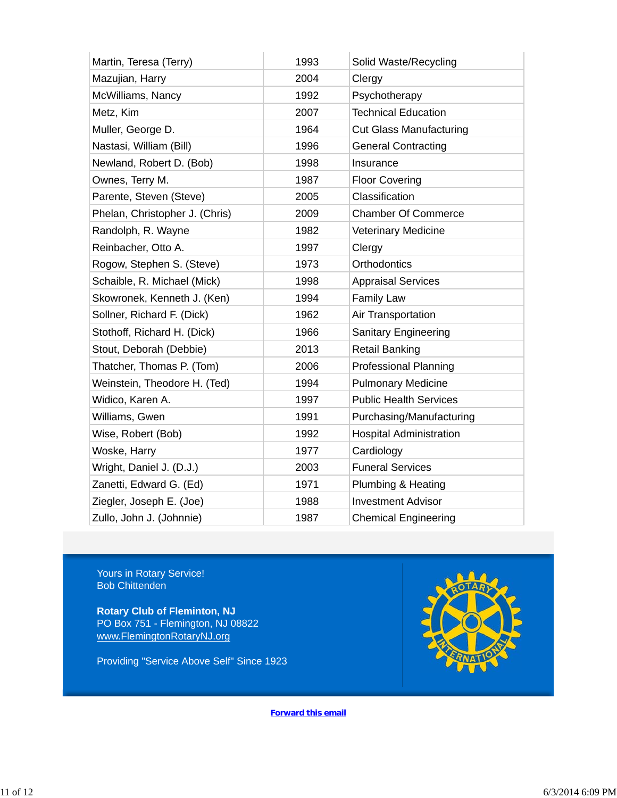| Martin, Teresa (Terry)         | 1993 | Solid Waste/Recycling          |
|--------------------------------|------|--------------------------------|
| Mazujian, Harry                | 2004 | Clergy                         |
| McWilliams, Nancy              | 1992 | Psychotherapy                  |
| Metz, Kim                      | 2007 | <b>Technical Education</b>     |
| Muller, George D.              | 1964 | <b>Cut Glass Manufacturing</b> |
| Nastasi, William (Bill)        | 1996 | <b>General Contracting</b>     |
| Newland, Robert D. (Bob)       | 1998 | Insurance                      |
| Ownes, Terry M.                | 1987 | <b>Floor Covering</b>          |
| Parente, Steven (Steve)        | 2005 | Classification                 |
| Phelan, Christopher J. (Chris) | 2009 | <b>Chamber Of Commerce</b>     |
| Randolph, R. Wayne             | 1982 | Veterinary Medicine            |
| Reinbacher, Otto A.            | 1997 | Clergy                         |
| Rogow, Stephen S. (Steve)      | 1973 | Orthodontics                   |
| Schaible, R. Michael (Mick)    | 1998 | <b>Appraisal Services</b>      |
| Skowronek, Kenneth J. (Ken)    | 1994 | Family Law                     |
| Sollner, Richard F. (Dick)     | 1962 | Air Transportation             |
| Stothoff, Richard H. (Dick)    | 1966 | Sanitary Engineering           |
| Stout, Deborah (Debbie)        | 2013 | <b>Retail Banking</b>          |
| Thatcher, Thomas P. (Tom)      | 2006 | <b>Professional Planning</b>   |
| Weinstein, Theodore H. (Ted)   | 1994 | <b>Pulmonary Medicine</b>      |
| Widico, Karen A.               | 1997 | <b>Public Health Services</b>  |
| Williams, Gwen                 | 1991 | Purchasing/Manufacturing       |
| Wise, Robert (Bob)             | 1992 | <b>Hospital Administration</b> |
| Woske, Harry                   | 1977 | Cardiology                     |
| Wright, Daniel J. (D.J.)       | 2003 | <b>Funeral Services</b>        |
| Zanetti, Edward G. (Ed)        | 1971 | Plumbing & Heating             |
| Ziegler, Joseph E. (Joe)       | 1988 | <b>Investment Advisor</b>      |
| Zullo, John J. (Johnnie)       | 1987 | <b>Chemical Engineering</b>    |

Yours in Rotary Service! Bob Chittenden

**Rotary Club of Fleminton, NJ** PO Box 751 - Flemington, NJ 08822 www.FlemingtonRotaryNJ.org

Providing "Service Above Self" Since 1923



**Forward this email**